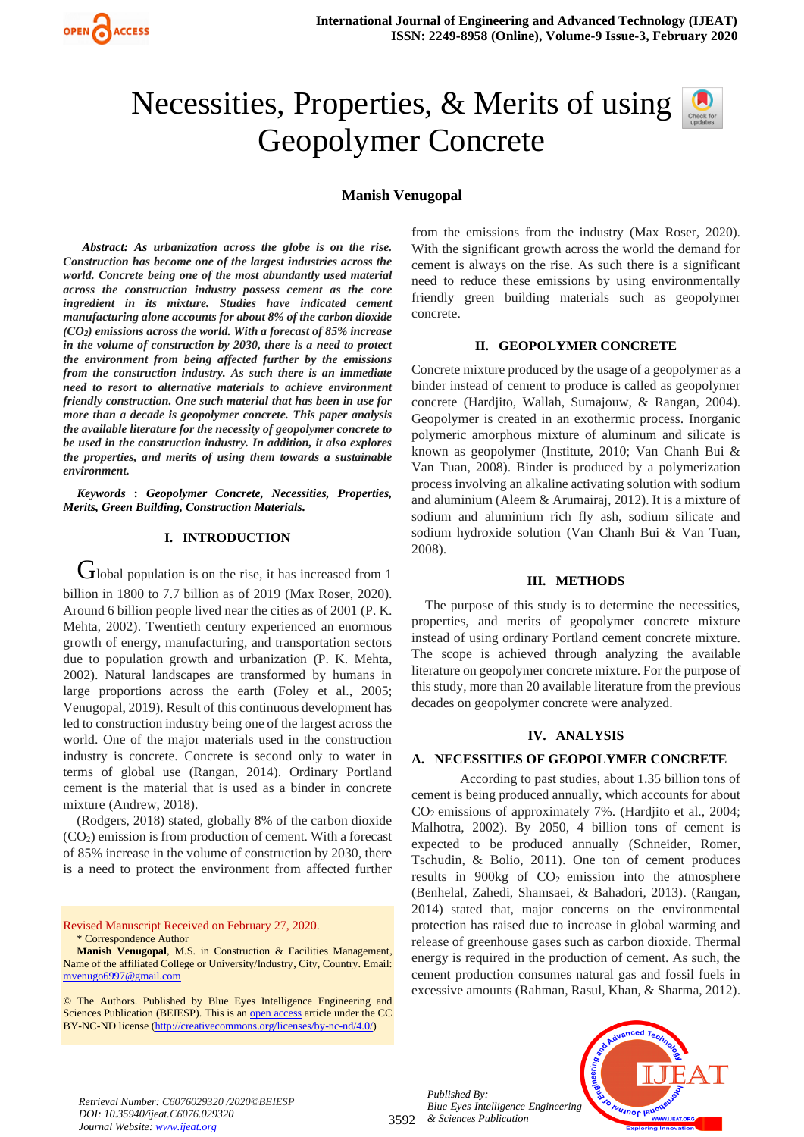

# Necessities, Properties, & Merits of using Geopolymer Concrete

# **Manish Venugopal**

*Abstract: As urbanization across the globe is on the rise. Construction has become one of the largest industries across the world. Concrete being one of the most abundantly used material across the construction industry possess cement as the core ingredient in its mixture. Studies have indicated cement manufacturing alone accounts for about 8% of the carbon dioxide (CO2) emissions across the world. With a forecast of 85% increase in the volume of construction by 2030, there is a need to protect the environment from being affected further by the emissions from the construction industry. As such there is an immediate need to resort to alternative materials to achieve environment friendly construction. One such material that has been in use for more than a decade is geopolymer concrete. This paper analysis the available literature for the necessity of geopolymer concrete to be used in the construction industry. In addition, it also explores the properties, and merits of using them towards a sustainable environment.*

*Keywords* **:** *Geopolymer Concrete, Necessities, Properties, Merits, Green Building, Construction Materials.* 

# **I. INTRODUCTION**

 $G$ lobal population is on the rise, it has increased from 1 billion in 1800 to 7.7 billion as of 2019 (Max Roser, 2020). Around 6 billion people lived near the cities as of 2001 (P. K. Mehta, 2002). Twentieth century experienced an enormous growth of energy, manufacturing, and transportation sectors due to population growth and urbanization (P. K. Mehta, 2002). Natural landscapes are transformed by humans in large proportions across the earth (Foley et al., 2005; Venugopal, 2019). Result of this continuous development has led to construction industry being one of the largest across the world. One of the major materials used in the construction industry is concrete. Concrete is second only to water in terms of global use (Rangan, 2014). Ordinary Portland cement is the material that is used as a binder in concrete mixture (Andrew, 2018).

(Rodgers, 2018) stated, globally 8% of the carbon dioxide  $(CO<sub>2</sub>)$  emission is from production of cement. With a forecast of 85% increase in the volume of construction by 2030, there is a need to protect the environment from affected further

Revised Manuscript Received on February 27, 2020. \* Correspondence Author

**Manish Venugopal**, M.S. in Construction & Facilities Management, Name of the affiliated College or University/Industry, City, Country. Email: [mvenugo6997@gmail.com](mailto:mvenugo6997@gmail.com)

© The Authors. Published by Blue Eyes Intelligence Engineering and Sciences Publication (BEIESP). This is a[n open access](https://www.openaccess.nl/en/open-publications) article under the CC BY-NC-ND license [\(http://creativecommons.org/licenses/by-nc-nd/4.0/\)](http://creativecommons.org/licenses/by-nc-nd/4.0/)

from the emissions from the industry (Max Roser, 2020). With the significant growth across the world the demand for cement is always on the rise. As such there is a significant need to reduce these emissions by using environmentally friendly green building materials such as geopolymer concrete.

#### **II. GEOPOLYMER CONCRETE**

Concrete mixture produced by the usage of a geopolymer as a binder instead of cement to produce is called as geopolymer concrete (Hardjito, Wallah, Sumajouw, & Rangan, 2004). Geopolymer is created in an exothermic process. Inorganic polymeric amorphous mixture of aluminum and silicate is known as geopolymer (Institute, 2010; Van Chanh Bui & Van Tuan, 2008). Binder is produced by a polymerization process involving an alkaline activating solution with sodium and aluminium (Aleem & Arumairaj, 2012). It is a mixture of sodium and aluminium rich fly ash, sodium silicate and sodium hydroxide solution (Van Chanh Bui & Van Tuan, 2008).

#### **III. METHODS**

The purpose of this study is to determine the necessities, properties, and merits of geopolymer concrete mixture instead of using ordinary Portland cement concrete mixture. The scope is achieved through analyzing the available literature on geopolymer concrete mixture. For the purpose of this study, more than 20 available literature from the previous decades on geopolymer concrete were analyzed.

# **IV. ANALYSIS**

#### **A. NECESSITIES OF GEOPOLYMER CONCRETE**

According to past studies, about 1.35 billion tons of cement is being produced annually, which accounts for about CO<sup>2</sup> emissions of approximately 7%. (Hardjito et al., 2004; Malhotra, 2002). By 2050, 4 billion tons of cement is expected to be produced annually (Schneider, Romer, Tschudin, & Bolio, 2011). One ton of cement produces results in  $900kg$  of  $CO<sub>2</sub>$  emission into the atmosphere (Benhelal, Zahedi, Shamsaei, & Bahadori, 2013). (Rangan, 2014) stated that, major concerns on the environmental protection has raised due to increase in global warming and release of greenhouse gases such as carbon dioxide. Thermal energy is required in the production of cement. As such, the cement production consumes natural gas and fossil fuels in excessive amounts (Rahman, Rasul, Khan, & Sharma, 2012).





*Retrieval Number: C6076029320 /2020©BEIESP DOI: 10.35940/ijeat.C6076.029320 Journal Website[: www.ijeat.org](http://www.ijeat.org/)*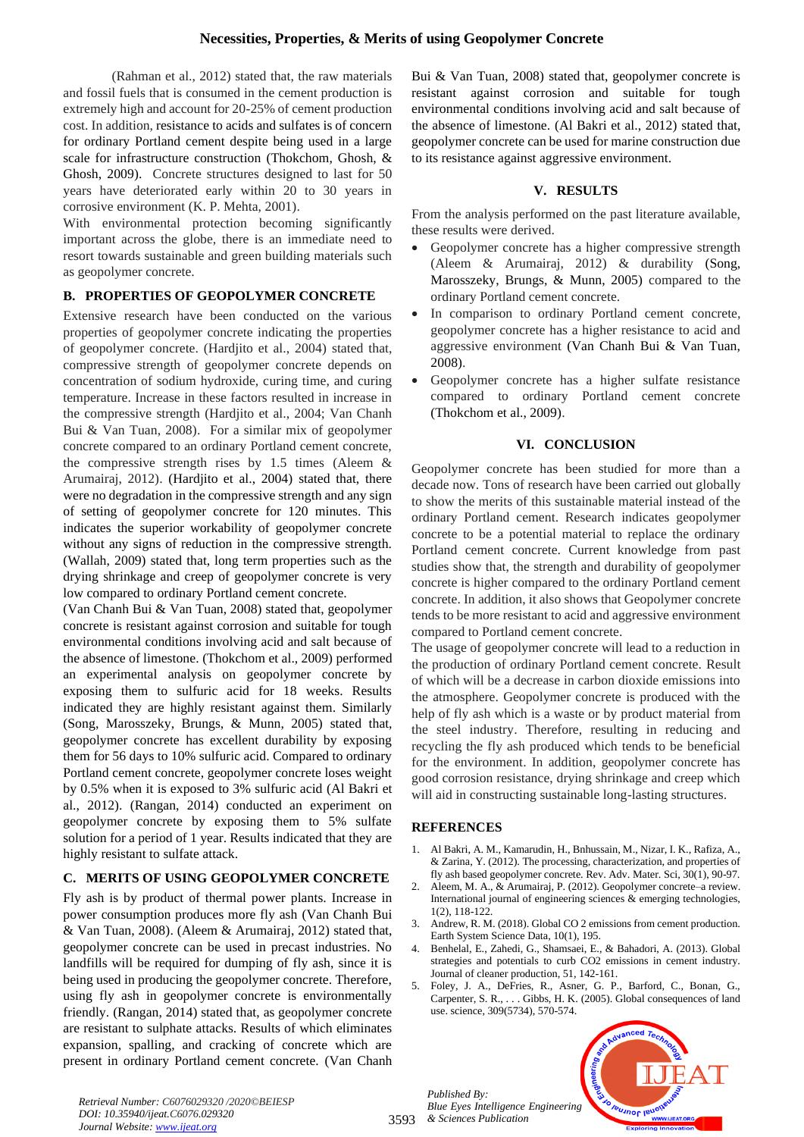(Rahman et al., 2012) stated that, the raw materials and fossil fuels that is consumed in the cement production is extremely high and account for 20-25% of cement production cost. In addition, resistance to acids and sulfates is of concern for ordinary Portland cement despite being used in a large scale for infrastructure construction (Thokchom, Ghosh, & Ghosh, 2009). Concrete structures designed to last for 50 years have deteriorated early within 20 to 30 years in corrosive environment (K. P. Mehta, 2001).

With environmental protection becoming significantly important across the globe, there is an immediate need to resort towards sustainable and green building materials such as geopolymer concrete.

# **B. PROPERTIES OF GEOPOLYMER CONCRETE**

Extensive research have been conducted on the various properties of geopolymer concrete indicating the properties of geopolymer concrete. (Hardjito et al., 2004) stated that, compressive strength of geopolymer concrete depends on concentration of sodium hydroxide, curing time, and curing temperature. Increase in these factors resulted in increase in the compressive strength (Hardjito et al., 2004; Van Chanh Bui & Van Tuan, 2008). For a similar mix of geopolymer concrete compared to an ordinary Portland cement concrete, the compressive strength rises by  $1.5$  times (Aleem  $\&$ Arumairaj, 2012). (Hardjito et al., 2004) stated that, there were no degradation in the compressive strength and any sign of setting of geopolymer concrete for 120 minutes. This indicates the superior workability of geopolymer concrete without any signs of reduction in the compressive strength. (Wallah, 2009) stated that, long term properties such as the drying shrinkage and creep of geopolymer concrete is very low compared to ordinary Portland cement concrete.

(Van Chanh Bui & Van Tuan, 2008) stated that, geopolymer concrete is resistant against corrosion and suitable for tough environmental conditions involving acid and salt because of the absence of limestone. (Thokchom et al., 2009) performed an experimental analysis on geopolymer concrete by exposing them to sulfuric acid for 18 weeks. Results indicated they are highly resistant against them. Similarly (Song, Marosszeky, Brungs, & Munn, 2005) stated that, geopolymer concrete has excellent durability by exposing them for 56 days to 10% sulfuric acid. Compared to ordinary Portland cement concrete, geopolymer concrete loses weight by 0.5% when it is exposed to 3% sulfuric acid (Al Bakri et al., 2012). (Rangan, 2014) conducted an experiment on geopolymer concrete by exposing them to 5% sulfate solution for a period of 1 year. Results indicated that they are highly resistant to sulfate attack.

# **C. MERITS OF USING GEOPOLYMER CONCRETE**

Fly ash is by product of thermal power plants. Increase in power consumption produces more fly ash (Van Chanh Bui & Van Tuan, 2008). (Aleem & Arumairaj, 2012) stated that, geopolymer concrete can be used in precast industries. No landfills will be required for dumping of fly ash, since it is being used in producing the geopolymer concrete. Therefore, using fly ash in geopolymer concrete is environmentally friendly. (Rangan, 2014) stated that, as geopolymer concrete are resistant to sulphate attacks. Results of which eliminates expansion, spalling, and cracking of concrete which are present in ordinary Portland cement concrete. (Van Chanh

Bui & Van Tuan, 2008) stated that, geopolymer concrete is resistant against corrosion and suitable for tough environmental conditions involving acid and salt because of the absence of limestone. (Al Bakri et al., 2012) stated that, geopolymer concrete can be used for marine construction due to its resistance against aggressive environment.

# **V. RESULTS**

From the analysis performed on the past literature available, these results were derived.

- Geopolymer concrete has a higher compressive strength (Aleem & Arumairaj, 2012) & durability (Song, Marosszeky, Brungs, & Munn, 2005) compared to the ordinary Portland cement concrete.
- In comparison to ordinary Portland cement concrete, geopolymer concrete has a higher resistance to acid and aggressive environment (Van Chanh Bui & Van Tuan, 2008).
- Geopolymer concrete has a higher sulfate resistance compared to ordinary Portland cement concrete (Thokchom et al., 2009).

# **VI. CONCLUSION**

Geopolymer concrete has been studied for more than a decade now. Tons of research have been carried out globally to show the merits of this sustainable material instead of the ordinary Portland cement. Research indicates geopolymer concrete to be a potential material to replace the ordinary Portland cement concrete. Current knowledge from past studies show that, the strength and durability of geopolymer concrete is higher compared to the ordinary Portland cement concrete. In addition, it also shows that Geopolymer concrete tends to be more resistant to acid and aggressive environment compared to Portland cement concrete.

The usage of geopolymer concrete will lead to a reduction in the production of ordinary Portland cement concrete. Result of which will be a decrease in carbon dioxide emissions into the atmosphere. Geopolymer concrete is produced with the help of fly ash which is a waste or by product material from the steel industry. Therefore, resulting in reducing and recycling the fly ash produced which tends to be beneficial for the environment. In addition, geopolymer concrete has good corrosion resistance, drying shrinkage and creep which will aid in constructing sustainable long-lasting structures.

# **REFERENCES**

- 1. Al Bakri, A. M., Kamarudin, H., Bnhussain, M., Nizar, I. K., Rafiza, A., & Zarina, Y. (2012). The processing, characterization, and properties of fly ash based geopolymer concrete. Rev. Adv. Mater. Sci, 30(1), 90-97.
- 2. Aleem, M. A., & Arumairaj, P. (2012). Geopolymer concrete–a review. International journal of engineering sciences & emerging technologies, 1(2), 118-122.
- 3. Andrew, R. M. (2018). Global CO 2 emissions from cement production. Earth System Science Data, 10(1), 195.
- 4. Benhelal, E., Zahedi, G., Shamsaei, E., & Bahadori, A. (2013). Global strategies and potentials to curb CO2 emissions in cement industry. Journal of cleaner production, 51, 142-161.
- 5. Foley, J. A., DeFries, R., Asner, G. P., Barford, C., Bonan, G., Carpenter, S. R., . . . Gibbs, H. K. (2005). Global consequences of land use. science, 309(5734), 570-574.

3593 *& Sciences Publication Published By: Blue Eyes Intelligence Engineering*